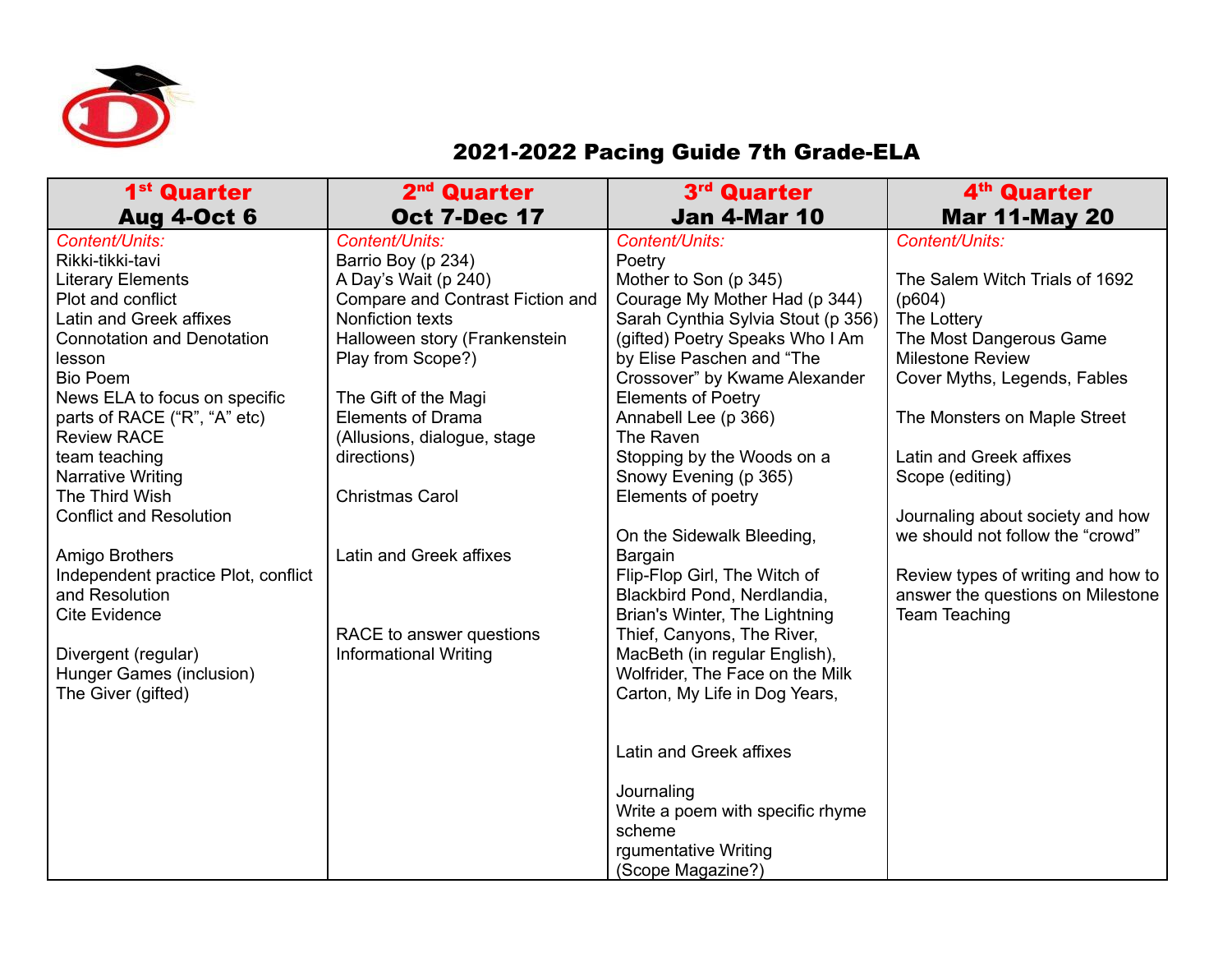

## 2021-2022 Pacing Guide 7th Grade-ELA

| 1 <sup>st</sup> Quarter             | 2 <sup>nd</sup> Quarter          | 3rd Quarter                        | 4 <sup>th</sup> Quarter            |
|-------------------------------------|----------------------------------|------------------------------------|------------------------------------|
| <b>Aug 4-Oct 6</b>                  | <b>Oct 7-Dec 17</b>              | <b>Jan 4-Mar 10</b>                | <b>Mar 11-May 20</b>               |
| Content/Units:                      | Content/Units:                   | Content/Units:                     | Content/Units:                     |
| Rikki-tikki-tavi                    | Barrio Boy (p 234)               | Poetry                             |                                    |
| <b>Literary Elements</b>            | A Day's Wait (p 240)             | Mother to Son (p 345)              | The Salem Witch Trials of 1692     |
| Plot and conflict                   | Compare and Contrast Fiction and | Courage My Mother Had (p 344)      | (p604)                             |
| Latin and Greek affixes             | Nonfiction texts                 | Sarah Cynthia Sylvia Stout (p 356) | The Lottery                        |
| <b>Connotation and Denotation</b>   | Halloween story (Frankenstein    | (gifted) Poetry Speaks Who I Am    | The Most Dangerous Game            |
| lesson                              | Play from Scope?)                | by Elise Paschen and "The          | <b>Milestone Review</b>            |
| <b>Bio Poem</b>                     |                                  | Crossover" by Kwame Alexander      | Cover Myths, Legends, Fables       |
| News ELA to focus on specific       | The Gift of the Magi             | <b>Elements of Poetry</b>          |                                    |
| parts of RACE ("R", "A" etc)        | <b>Elements of Drama</b>         | Annabell Lee (p 366)               | The Monsters on Maple Street       |
| <b>Review RACE</b>                  | (Allusions, dialogue, stage      | The Raven                          |                                    |
| team teaching                       | directions)                      | Stopping by the Woods on a         | Latin and Greek affixes            |
| Narrative Writing                   |                                  | Snowy Evening (p 365)              | Scope (editing)                    |
| The Third Wish                      | <b>Christmas Carol</b>           | Elements of poetry                 |                                    |
| <b>Conflict and Resolution</b>      |                                  |                                    | Journaling about society and how   |
|                                     |                                  | On the Sidewalk Bleeding,          | we should not follow the "crowd"   |
| Amigo Brothers                      | Latin and Greek affixes          | Bargain                            |                                    |
| Independent practice Plot, conflict |                                  | Flip-Flop Girl, The Witch of       | Review types of writing and how to |
| and Resolution                      |                                  | Blackbird Pond, Nerdlandia,        | answer the questions on Milestone  |
| <b>Cite Evidence</b>                |                                  | Brian's Winter, The Lightning      | <b>Team Teaching</b>               |
|                                     | RACE to answer questions         | Thief, Canyons, The River,         |                                    |
| Divergent (regular)                 | <b>Informational Writing</b>     | MacBeth (in regular English),      |                                    |
| Hunger Games (inclusion)            |                                  | Wolfrider, The Face on the Milk    |                                    |
| The Giver (gifted)                  |                                  | Carton, My Life in Dog Years,      |                                    |
|                                     |                                  |                                    |                                    |
|                                     |                                  |                                    |                                    |
|                                     |                                  | Latin and Greek affixes            |                                    |
|                                     |                                  | Journaling                         |                                    |
|                                     |                                  | Write a poem with specific rhyme   |                                    |
|                                     |                                  | scheme                             |                                    |
|                                     |                                  | rgumentative Writing               |                                    |
|                                     |                                  | (Scope Magazine?)                  |                                    |